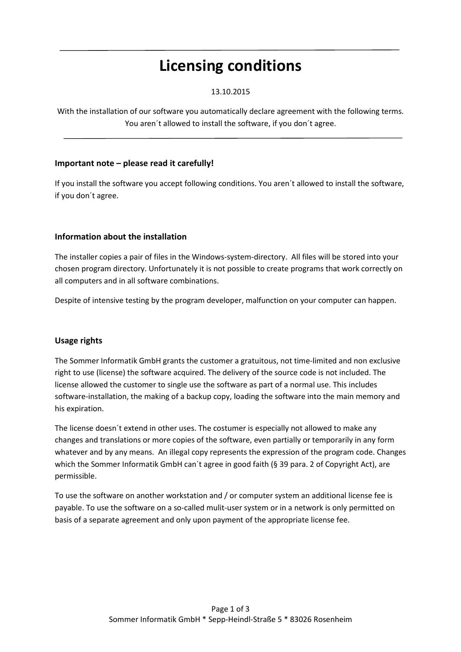# **Licensing conditions**

## 13.10.2015

With the installation of our software you automatically declare agreement with the following terms. You aren´t allowed to install the software, if you don´t agree.

## **Important note – please read it carefully!**

If you install the software you accept following conditions. You aren´t allowed to install the software, if you don´t agree.

# **Information about the installation**

The installer copies a pair of files in the Windows-system-directory. All files will be stored into your chosen program directory. Unfortunately it is not possible to create programs that work correctly on all computers and in all software combinations.

Despite of intensive testing by the program developer, malfunction on your computer can happen.

#### **Usage rights**

The Sommer Informatik GmbH grants the customer a gratuitous, not time-limited and non exclusive right to use (license) the software acquired. The delivery of the source code is not included. The license allowed the customer to single use the software as part of a normal use. This includes software-installation, the making of a backup copy, loading the software into the main memory and his expiration.

The license doesn´t extend in other uses. The costumer is especially not allowed to make any changes and translations or more copies of the software, even partially or temporarily in any form whatever and by any means. An illegal copy represents the expression of the program code. Changes which the Sommer Informatik GmbH can't agree in good faith (§ 39 para. 2 of Copyright Act), are permissible.

To use the software on another workstation and / or computer system an additional license fee is payable. To use the software on a so-called mulit-user system or in a network is only permitted on basis of a separate agreement and only upon payment of the appropriate license fee.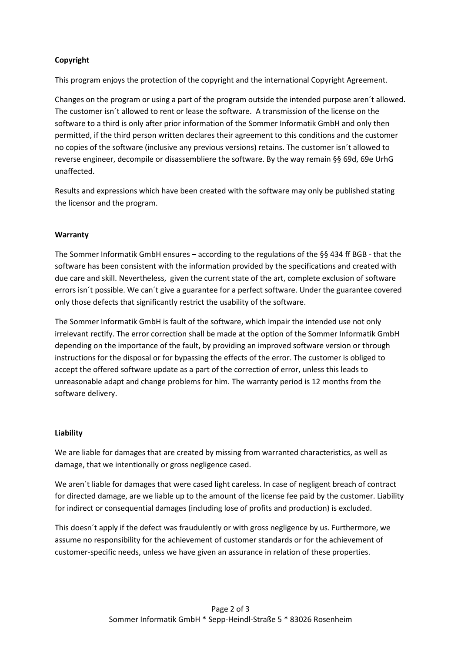# **Copyright**

This program enjoys the protection of the copyright and the international Copyright Agreement.

Changes on the program or using a part of the program outside the intended purpose aren´t allowed. The customer isn´t allowed to rent or lease the software. A transmission of the license on the software to a third is only after prior information of the Sommer Informatik GmbH and only then permitted, if the third person written declares their agreement to this conditions and the customer no copies of the software (inclusive any previous versions) retains. The customer isn´t allowed to reverse engineer, decompile or disassembliere the software. By the way remain §§ 69d, 69e UrhG unaffected.

Results and expressions which have been created with the software may only be published stating the licensor and the program.

## **Warranty**

The Sommer Informatik GmbH ensures – according to the regulations of the §§ 434 ff BGB - that the software has been consistent with the information provided by the specifications and created with due care and skill. Nevertheless, given the current state of the art, complete exclusion of software errors isn´t possible. We can´t give a guarantee for a perfect software. Under the guarantee covered only those defects that significantly restrict the usability of the software.

The Sommer Informatik GmbH is fault of the software, which impair the intended use not only irrelevant rectify. The error correction shall be made at the option of the Sommer Informatik GmbH depending on the importance of the fault, by providing an improved software version or through instructions for the disposal or for bypassing the effects of the error. The customer is obliged to accept the offered software update as a part of the correction of error, unless this leads to unreasonable adapt and change problems for him. The warranty period is 12 months from the software delivery.

#### **Liability**

We are liable for damages that are created by missing from warranted characteristics, as well as damage, that we intentionally or gross negligence cased.

We aren´t liable for damages that were cased light careless. In case of negligent breach of contract for directed damage, are we liable up to the amount of the license fee paid by the customer. Liability for indirect or consequential damages (including lose of profits and production) is excluded.

This doesn´t apply if the defect was fraudulently or with gross negligence by us. Furthermore, we assume no responsibility for the achievement of customer standards or for the achievement of customer-specific needs, unless we have given an assurance in relation of these properties.